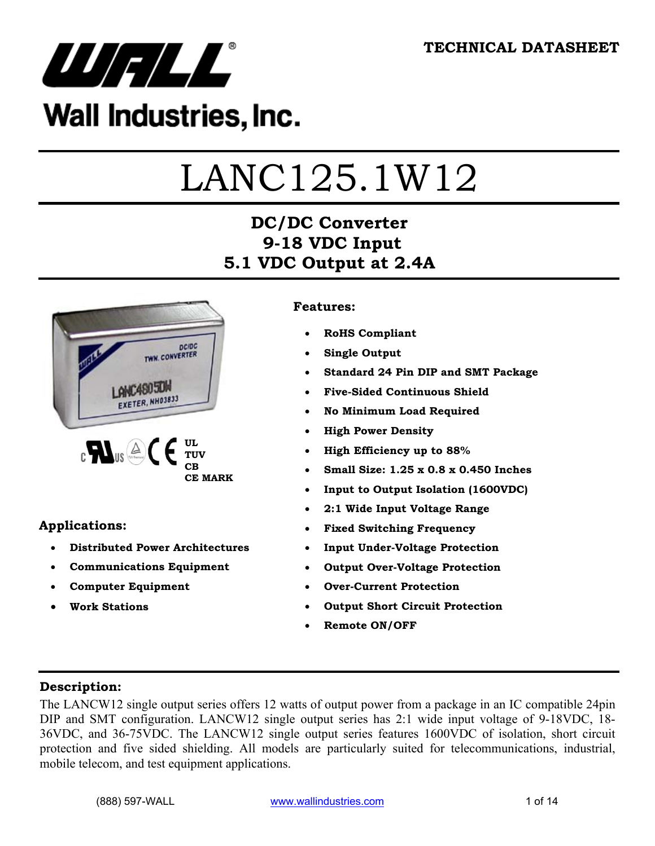

## Wall Industries, Inc.

# LANC125.1W12

## **DC/DC Converter 9-18 VDC Input 5.1 VDC Output at 2.4A**



#### **Applications:**

- **Distributed Power Architectures**
- **Communications Equipment**
- **Computer Equipment**
- **Work Stations**

#### **Features:**

- **RoHS Compliant**
- **Single Output**
- **Standard 24 Pin DIP and SMT Package**
- **Five-Sided Continuous Shield**
- **No Minimum Load Required**
- **High Power Density**
- **High Efficiency up to 88%**
- **Small Size: 1.25 x 0.8 x 0.450 Inches**
- **Input to Output Isolation (1600VDC)**
- **2:1 Wide Input Voltage Range**
- **Fixed Switching Frequency**
- **Input Under-Voltage Protection**
- **Output Over-Voltage Protection**
- **Over-Current Protection**
- **Output Short Circuit Protection**
- **Remote ON/OFF**

#### **Description:**

The LANCW12 single output series offers 12 watts of output power from a package in an IC compatible 24pin DIP and SMT configuration. LANCW12 single output series has 2:1 wide input voltage of 9-18VDC, 18- 36VDC, and 36-75VDC. The LANCW12 single output series features 1600VDC of isolation, short circuit protection and five sided shielding. All models are particularly suited for telecommunications, industrial, mobile telecom, and test equipment applications.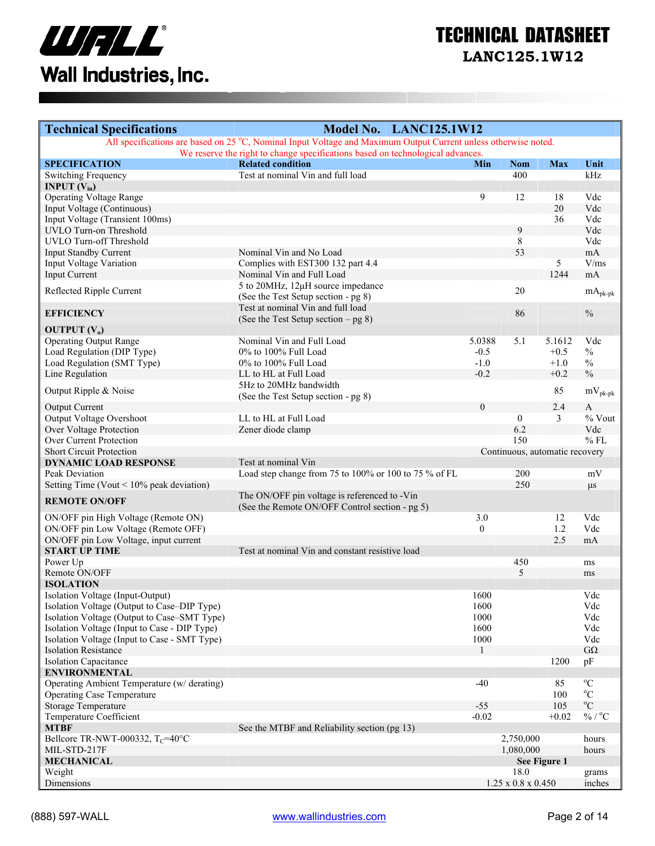

| <b>Technical Specifications</b>                           | Model No. LANC125.1W12                                                                                          |                |                                |            |                             |
|-----------------------------------------------------------|-----------------------------------------------------------------------------------------------------------------|----------------|--------------------------------|------------|-----------------------------|
|                                                           | All specifications are based on 25 °C, Nominal Input Voltage and Maximum Output Current unless otherwise noted. |                |                                |            |                             |
|                                                           | We reserve the right to change specifications based on technological advances.                                  |                |                                |            |                             |
| <b>SPECIFICATION</b>                                      | <b>Related condition</b>                                                                                        | Min            | <b>Nom</b>                     | <b>Max</b> | Unit                        |
| Switching Frequency                                       | Test at nominal Vin and full load                                                                               |                | 400                            |            | kHz                         |
| <b>INPUT</b> $(V_{in})$<br><b>Operating Voltage Range</b> |                                                                                                                 | 9              | 12                             | 18         | Vdc                         |
|                                                           |                                                                                                                 |                |                                | 20         |                             |
| Input Voltage (Continuous)                                |                                                                                                                 |                |                                |            | Vdc<br>Vdc                  |
| Input Voltage (Transient 100ms)<br>UVLO Turn-on Threshold |                                                                                                                 |                | 9                              | 36         | Vdc                         |
| UVLO Turn-off Threshold                                   |                                                                                                                 |                |                                |            | Vdc                         |
| <b>Input Standby Current</b>                              | Nominal Vin and No Load                                                                                         |                | 8<br>53                        |            | mA                          |
| Input Voltage Variation                                   | Complies with EST300 132 part 4.4                                                                               |                |                                | 5          | V/ms                        |
| <b>Input Current</b>                                      | Nominal Vin and Full Load                                                                                       |                |                                | 1244       | mA                          |
|                                                           | 5 to 20MHz, 12µH source impedance                                                                               |                |                                |            |                             |
| Reflected Ripple Current                                  | (See the Test Setup section - pg 8)                                                                             |                | 20                             |            | $mA_{pk-pk}$                |
|                                                           | Test at nominal Vin and full load                                                                               |                |                                |            |                             |
| <b>EFFICIENCY</b>                                         | (See the Test Setup section $-$ pg 8)                                                                           |                | 86                             |            | $\frac{0}{0}$               |
| <b>OUTPUT</b> $(V_0)$                                     |                                                                                                                 |                |                                |            |                             |
| <b>Operating Output Range</b>                             | Nominal Vin and Full Load                                                                                       | 5.0388         | 5.1                            | 5.1612     | Vdc                         |
| Load Regulation (DIP Type)                                | 0% to 100% Full Load                                                                                            | $-0.5$         |                                | $+0.5$     | $\%$                        |
| Load Regulation (SMT Type)                                | 0% to 100% Full Load                                                                                            | $-1.0$         |                                | $+1.0$     | $\%$                        |
| Line Regulation                                           | LL to HL at Full Load                                                                                           | $-0.2$         |                                | $+0.2$     | $\frac{0}{0}$               |
|                                                           | 5Hz to 20MHz bandwidth                                                                                          |                |                                |            |                             |
| Output Ripple & Noise                                     | (See the Test Setup section - pg 8)                                                                             |                |                                | 85         | $mV_{pk-pk}$                |
| <b>Output Current</b>                                     |                                                                                                                 | $\overline{0}$ |                                | 2.4        | A                           |
| Output Voltage Overshoot                                  | LL to HL at Full Load                                                                                           |                | $\boldsymbol{0}$               | 3          | % Vout                      |
| Over Voltage Protection                                   | Zener diode clamp                                                                                               |                | 6.2                            |            | Vdc                         |
| Over Current Protection                                   |                                                                                                                 |                | 150                            |            | $%$ FL                      |
| <b>Short Circuit Protection</b>                           |                                                                                                                 |                |                                |            |                             |
|                                                           | Test at nominal Vin                                                                                             |                | Continuous, automatic recovery |            |                             |
| <b>DYNAMIC LOAD RESPONSE</b><br>Peak Deviation            | Load step change from 75 to 100% or 100 to 75 % of FL                                                           |                | 200                            |            | mV                          |
| Setting Time (Vout $\leq 10\%$ peak deviation)            |                                                                                                                 |                | 250                            |            |                             |
|                                                           | The ON/OFF pin voltage is referenced to -Vin                                                                    |                |                                |            | $\mu s$                     |
| <b>REMOTE ON/OFF</b>                                      | (See the Remote ON/OFF Control section - pg 5)                                                                  |                |                                |            |                             |
| ON/OFF pin High Voltage (Remote ON)                       |                                                                                                                 | 3.0            |                                | 12         | Vdc                         |
| ON/OFF pin Low Voltage (Remote OFF)                       |                                                                                                                 | $\theta$       |                                | 1.2        | Vdc                         |
| ON/OFF pin Low Voltage, input current                     |                                                                                                                 |                |                                | 2.5        | mA                          |
| <b>START UP TIME</b>                                      | Test at nominal Vin and constant resistive load                                                                 |                |                                |            |                             |
| Power Up                                                  |                                                                                                                 |                | 450                            |            | ms                          |
| Remote ON/OFF                                             |                                                                                                                 |                | 5                              |            | ms                          |
| <b>ISOLATION</b>                                          |                                                                                                                 |                |                                |            |                             |
| Isolation Voltage (Input-Output)                          |                                                                                                                 | 1600           |                                |            | Vdc                         |
| Isolation Voltage (Output to Case-DIP Type)               |                                                                                                                 | 1600           |                                |            | Vdc                         |
| Isolation Voltage (Output to Case-SMT Type)               |                                                                                                                 | 1000           |                                |            | Vdc                         |
| Isolation Voltage (Input to Case - DIP Type)              |                                                                                                                 | 1600           |                                |            | Vdc                         |
| Isolation Voltage (Input to Case - SMT Type)              |                                                                                                                 | 1000           |                                |            | Vdc                         |
| <b>Isolation Resistance</b>                               |                                                                                                                 |                |                                |            | $G\Omega$                   |
| <b>Isolation Capacitance</b>                              |                                                                                                                 |                |                                | 1200       | pF                          |
| <b>ENVIRONMENTAL</b>                                      |                                                                                                                 |                |                                |            |                             |
| Operating Ambient Temperature (w/derating)                |                                                                                                                 | $-40$          |                                | 85         | $^{\circ}C$                 |
| <b>Operating Case Temperature</b>                         |                                                                                                                 |                |                                | 100        | $\rm ^{o}C$                 |
| Storage Temperature                                       |                                                                                                                 | $-55$          |                                | 105        | $^{\rm o}{\rm C}$           |
| Temperature Coefficient                                   |                                                                                                                 | $-0.02$        |                                | $+0.02$    | $\%$ / $^{\rm o}\textrm{C}$ |
| <b>MTBF</b>                                               | See the MTBF and Reliability section (pg 13)                                                                    |                |                                |            |                             |
| Bellcore TR-NWT-000332, $T_c$ =40°C                       |                                                                                                                 |                | 2,750,000                      |            | hours                       |
| MIL-STD-217F                                              |                                                                                                                 |                | 1,080,000                      |            | hours                       |
| <b>MECHANICAL</b>                                         |                                                                                                                 |                | See Figure 1                   |            |                             |
| Weight                                                    |                                                                                                                 |                | 18.0                           |            | grams                       |
| Dimensions                                                |                                                                                                                 |                | $1.25 \times 0.8 \times 0.450$ |            | inches                      |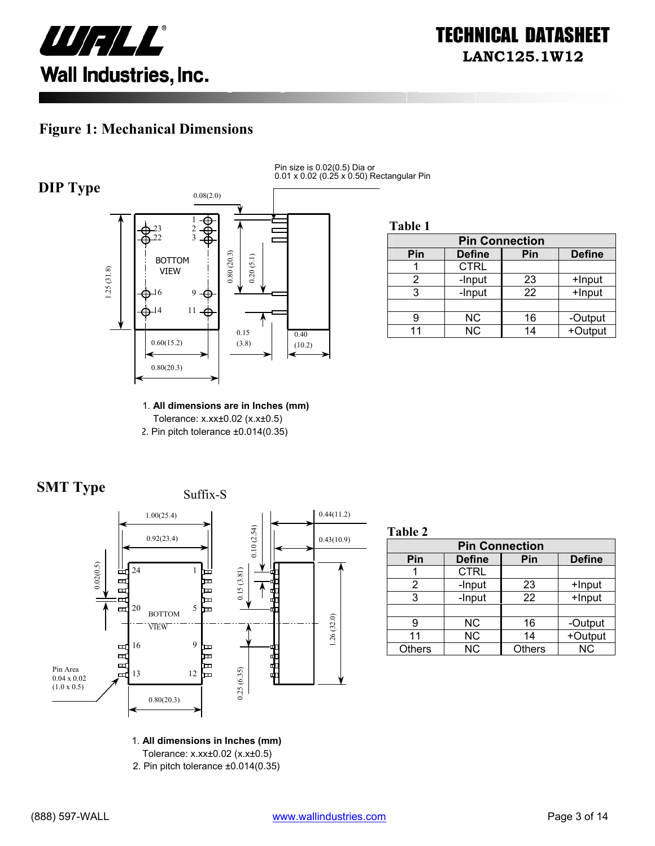

#### **Figure 1: Mechanical Dimensions**



Pin size is 0.02(0.5) Dia or 0.01 x 0.02 (0.25 x 0.50) Rectangular Pin

**Table 1**

| <b>Pin Connection</b> |               |     |               |
|-----------------------|---------------|-----|---------------|
| Pin                   | <b>Define</b> | Pin | <b>Define</b> |
|                       | <b>CTRL</b>   |     |               |
|                       | -Input        | 23  | +Input        |
|                       | -Input        | 22  | +Input        |
|                       |               |     |               |
|                       | <b>NC</b>     | 16  | -Output       |
|                       | <b>NC</b>     | 14  | +Output       |

1. **All dimensions are in Inches (mm)**  Tolerance: x.xx±0.02 (x.x±0.5) 2. Pin pitch tolerance ±0.014(0.35)





**Table 2**

| <b>Pin Connection</b> |               |               |               |
|-----------------------|---------------|---------------|---------------|
| Pin                   | <b>Define</b> | Pin           | <b>Define</b> |
|                       | <b>CTRL</b>   |               |               |
| 2                     | -Input        | 23            | +Input        |
| 3                     | -Input        | 22            | +Input        |
|                       |               |               |               |
| 9                     | NС            | 16            | -Output       |
| 11                    | <b>NC</b>     | 14            | +Output       |
| <b>Others</b>         | <b>NC</b>     | <b>Others</b> | <b>NC</b>     |

1. **All dimensions in Inches (mm)** 

Tolerance: x.xx±0.02 (x.x±0.5)

2. Pin pitch tolerance ±0.014(0.35)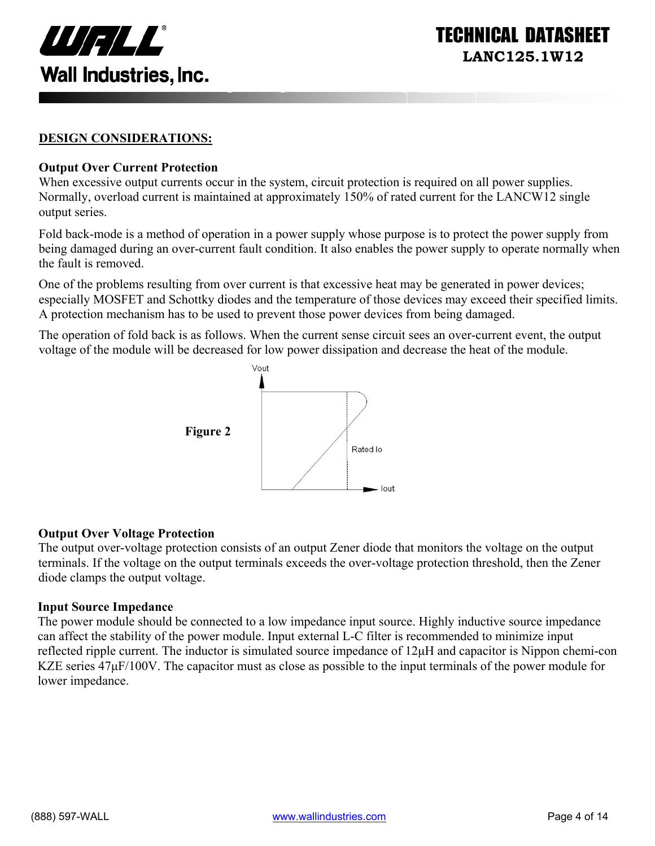

ECHNICAL DATASI **LANC125.1W12** 

#### **DESIGN CONSIDERATIONS:**

#### **Output Over Current Protection**

When excessive output currents occur in the system, circuit protection is required on all power supplies. Normally, overload current is maintained at approximately 150% of rated current for the LANCW12 single output series.

Fold back-mode is a method of operation in a power supply whose purpose is to protect the power supply from being damaged during an over-current fault condition. It also enables the power supply to operate normally when the fault is removed.

One of the problems resulting from over current is that excessive heat may be generated in power devices; especially MOSFET and Schottky diodes and the temperature of those devices may exceed their specified limits. A protection mechanism has to be used to prevent those power devices from being damaged.

The operation of fold back is as follows. When the current sense circuit sees an over-current event, the output voltage of the module will be decreased for low power dissipation and decrease the heat of the module.



#### **Output Over Voltage Protection**

The output over-voltage protection consists of an output Zener diode that monitors the voltage on the output terminals. If the voltage on the output terminals exceeds the over-voltage protection threshold, then the Zener diode clamps the output voltage.

#### **Input Source Impedance**

The power module should be connected to a low impedance input source. Highly inductive source impedance can affect the stability of the power module. Input external L-C filter is recommended to minimize input reflected ripple current. The inductor is simulated source impedance of 12µH and capacitor is Nippon chemi-con KZE series  $47\mu$ F/100V. The capacitor must as close as possible to the input terminals of the power module for lower impedance.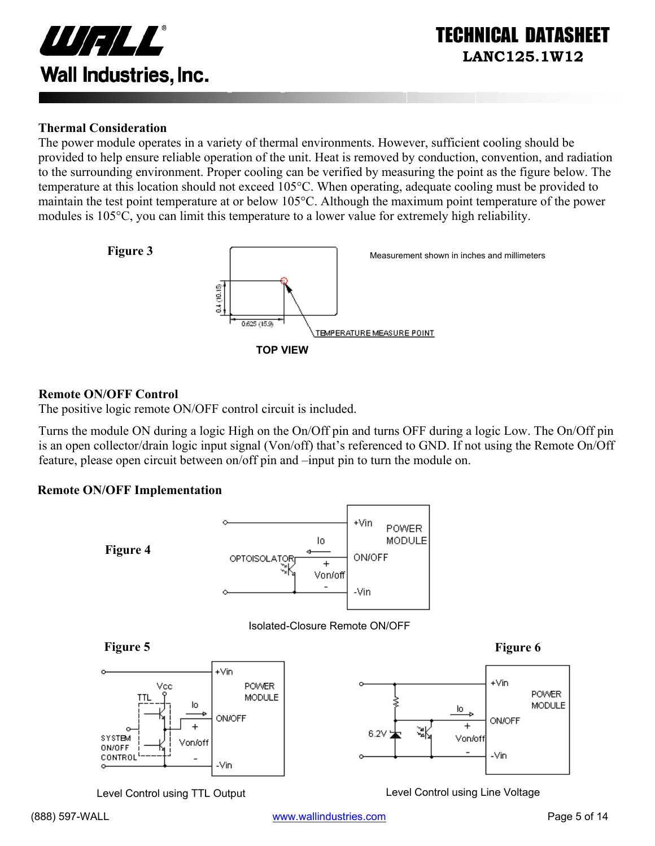

#### **Thermal Consideration**

The power module operates in a variety of thermal environments. However, sufficient cooling should be provided to help ensure reliable operation of the unit. Heat is removed by conduction, convention, and radiation to the surrounding environment. Proper cooling can be verified by measuring the point as the figure below. The temperature at this location should not exceed 105°C. When operating, adequate cooling must be provided to maintain the test point temperature at or below 105°C. Although the maximum point temperature of the power modules is 105°C, you can limit this temperature to a lower value for extremely high reliability.



#### **Remote ON/OFF Control**

The positive logic remote ON/OFF control circuit is included.

Turns the module ON during a logic High on the On/Off pin and turns OFF during a logic Low. The On/Off pin is an open collector/drain logic input signal (Von/off) that's referenced to GND. If not using the Remote On/Off feature, please open circuit between on/off pin and –input pin to turn the module on.

#### **Remote ON/OFF Implementation**



Level Control using TTL Output Level Control using Line Voltage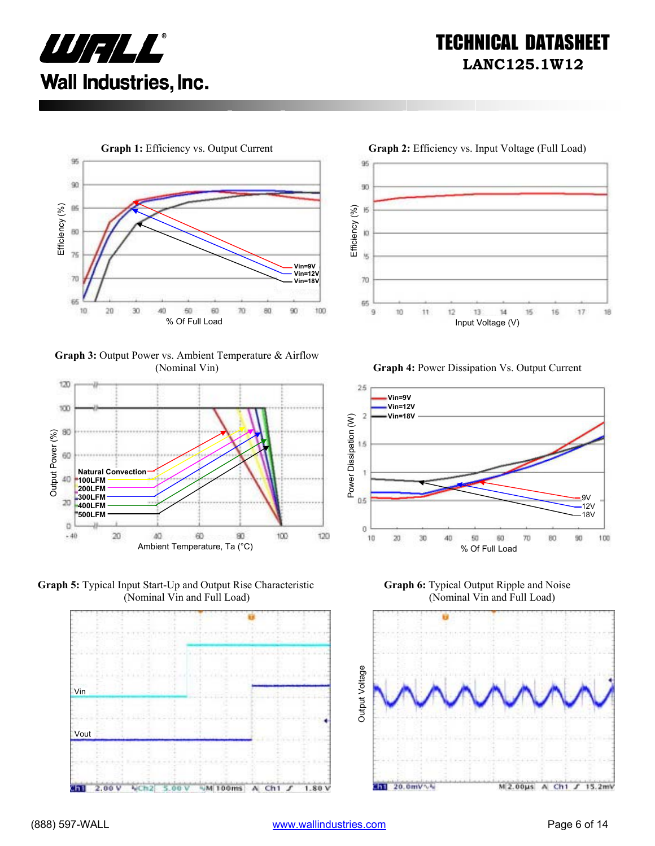



**Graph 3:** Output Power vs. Ambient Temperature & Airflow (Nominal Vin) **Graph 4:** Power Dissipation Vs. Output Current











**Graph 6:** Typical Output Ripple and Noise (Nominal Vin and Full Load)

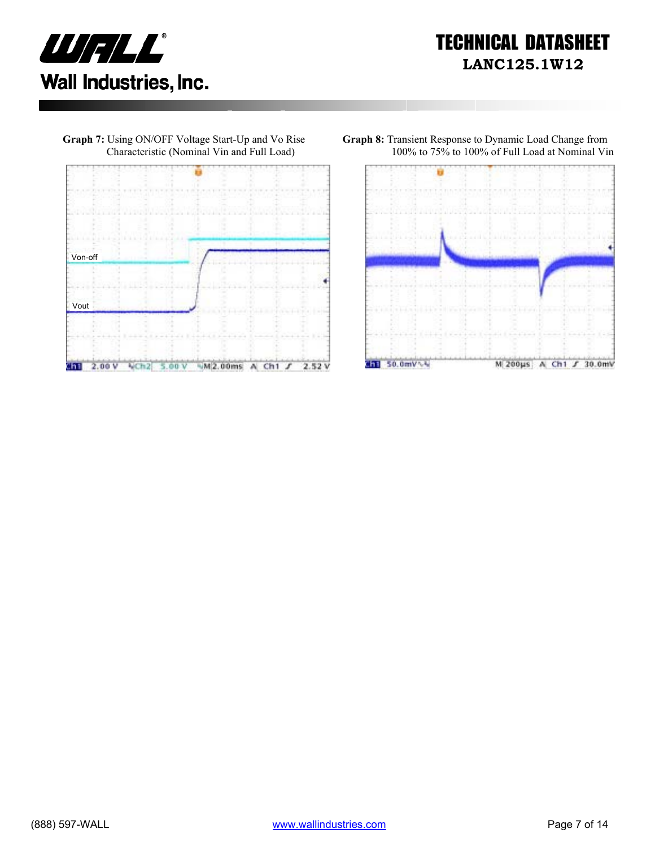



**Graph 7:** Using ON/OFF Voltage Start-Up and Vo Rise Characteristic (Nominal Vin and Full Load)

**Graph 8:** Transient Response to Dynamic Load Change from 100% to 75% to 100% of Full Load at Nominal Vin

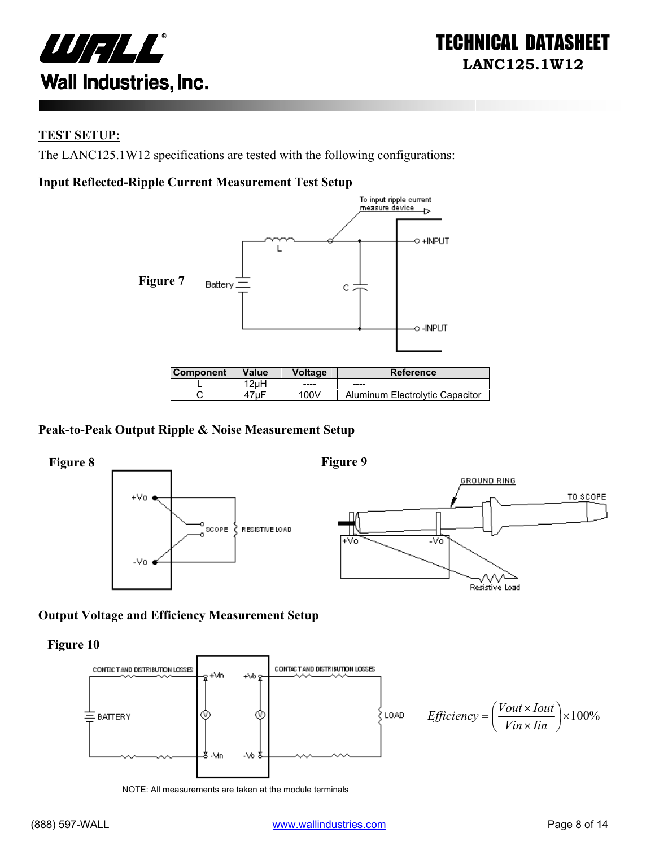

#### **TEST SETUP:**

The LANC125.1W12 specifications are tested with the following configurations:

#### **Input Reflected-Ripple Current Measurement Test Setup**



| <b>Component</b> | Value | Voltage | <b>Reference</b>                |
|------------------|-------|---------|---------------------------------|
|                  | 12uH  | ----    | ----                            |
|                  |       | 100V    | Aluminum Electrolytic Capacitor |

#### **Peak-to-Peak Output Ripple & Noise Measurement Setup**



#### **Output Voltage and Efficiency Measurement Setup**

**Figure 10** 



NOTE: All measurements are taken at the module terminals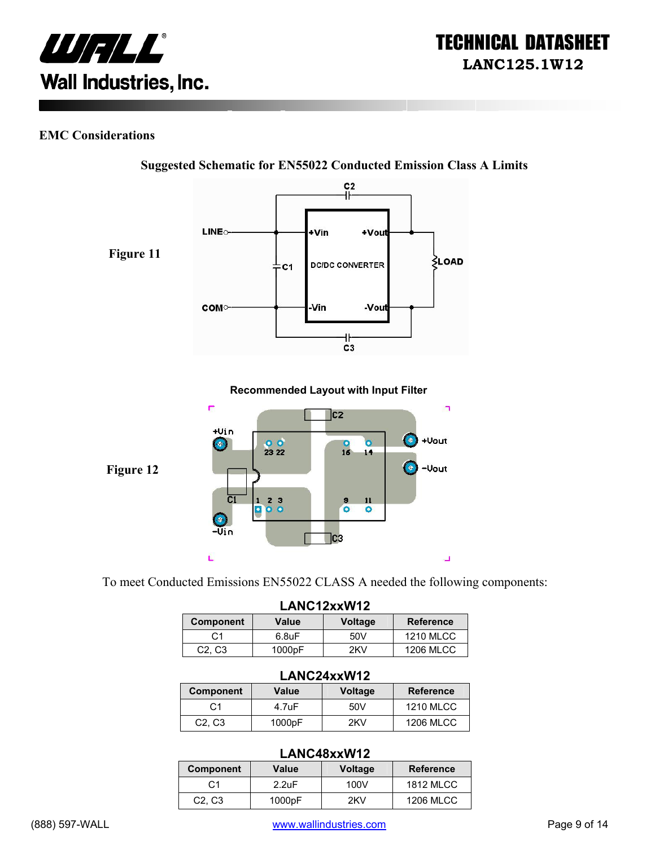

#### **EMC Considerations**



**Suggested Schematic for EN55022 Conducted Emission Class A Limits** 

To meet Conducted Emissions EN55022 CLASS A needed the following components:

| LANC12xxW12                     |             |         |                  |  |
|---------------------------------|-------------|---------|------------------|--|
| Component                       | Value       | Voltage | <b>Reference</b> |  |
| C <sub>1</sub>                  | $6.8$ u $F$ | 50V     | <b>1210 MLCC</b> |  |
| C <sub>2</sub> . C <sub>3</sub> | 1000pF      | 2KV     | <b>1206 MLCC</b> |  |

#### **LANC24xxW12**

| --------------                  |                    |                |                  |  |
|---------------------------------|--------------------|----------------|------------------|--|
| <b>Component</b>                | Value              | <b>Voltage</b> | <b>Reference</b> |  |
| C <sub>1</sub>                  | $4.7 \text{uF}$    | 50V            | <b>1210 MLCC</b> |  |
| C <sub>2</sub> , C <sub>3</sub> | 1000 <sub>pF</sub> | 2KV            | <b>1206 MLCC</b> |  |

#### **LANC48xxW12**

| ================                |                 |                |                  |  |
|---------------------------------|-----------------|----------------|------------------|--|
| <b>Component</b>                | Value           | <b>Voltage</b> | <b>Reference</b> |  |
| C <sub>1</sub>                  | $2.2 \text{uF}$ | 100V           | <b>1812 MLCC</b> |  |
| C <sub>2</sub> . C <sub>3</sub> | 1000pF          | 2KV            | <b>1206 MLCC</b> |  |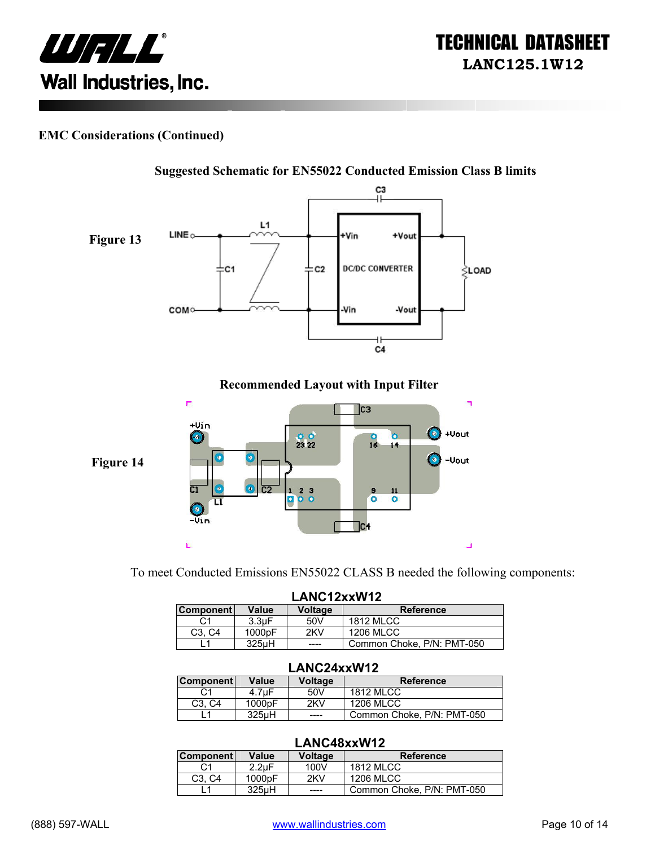

#### **EMC Considerations (Continued)**



To meet Conducted Emissions EN55022 CLASS B needed the following components:

| LANC12xxW12                     |                    |                |                            |
|---------------------------------|--------------------|----------------|----------------------------|
| <b>Component</b>                | Value              | <b>Voltage</b> | <b>Reference</b>           |
| C1                              | 3.3 <sub>U</sub> F | 50V            | <b>1812 MLCC</b>           |
| C <sub>3</sub> . C <sub>4</sub> | 1000pF             | 2KV            | <b>1206 MLCC</b>           |
|                                 | 325uH              | ----           | Common Choke, P/N: PMT-050 |

#### **LANC24xxW12**

| <b>Component</b>                | Value              | Voltage | <b>Reference</b>           |
|---------------------------------|--------------------|---------|----------------------------|
|                                 | 4.7 <sub>u</sub> F | 50V     | 1812 MLCC                  |
| C <sub>3</sub> . C <sub>4</sub> | 1000 <sub>pF</sub> | 2KV     | 1206 MLCC                  |
|                                 | 325uH              | ____    | Common Choke, P/N: PMT-050 |

#### **LANC48xxW12**

| <b>Component</b>                | Value              | <b>Voltage</b> | <b>Reference</b>           |
|---------------------------------|--------------------|----------------|----------------------------|
| C1                              | $2.2 \mu F$        | 100V           | <b>1812 MLCC</b>           |
| C <sub>3</sub> . C <sub>4</sub> | 1000pF             | 2KV            | <b>1206 MLCC</b>           |
|                                 | 325 <sub>µ</sub> H | ----           | Common Choke, P/N: PMT-050 |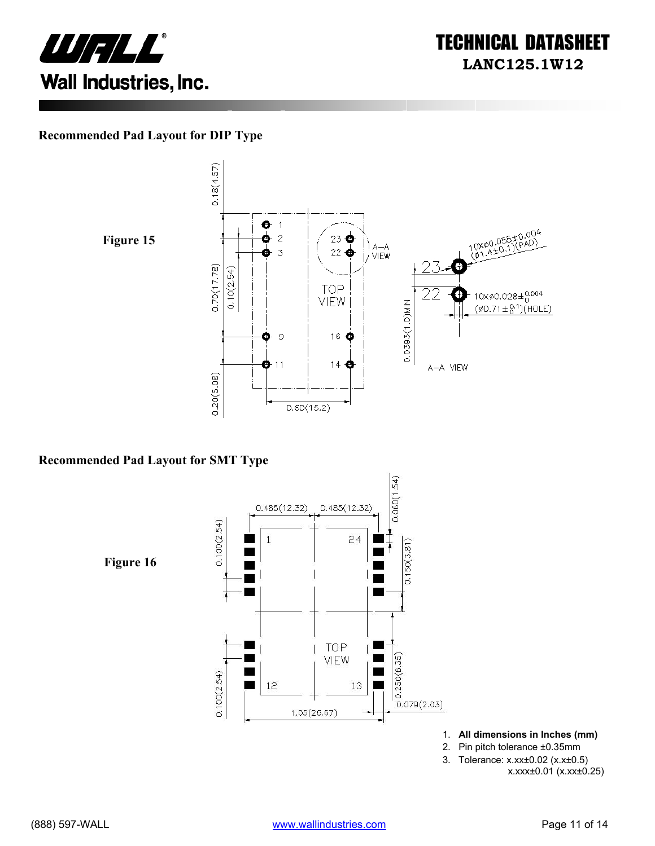

#### **Recommended Pad Layout for DIP Type**



 $0.18(4.57)$ o  $\vert$ 10X00.055±0.004<br>(01.4±0.1)(PAD)  $\bar{z}$  $23$   $\bullet$ |}a=a<br>|*|* View  $22\bigcirc$  $\overline{3}$  $0.70(17.78)$  $0.10(2.54)$ TOP  $10 \times \emptyset 0.028 \pm 0.004$ Ŧ VIEW 0.0393(1.0)MIN  $(\phi 0.71 \pm {}^{0.1}_{0})$ (HOLE)  $\mathbf 9$ 16 → æ  $14$   $\Theta$  $\mathbf{O}$ -11 A-A VIEW  $0.20(5.08)$  $0.60(15.2)$ 

#### **Recommended Pad Layout for SMT Type**

 $0.060(1.54)$  $0.485(12.32)$  $0.485(12.32)$  $0.100(2.54)$  $\overline{1}$  $24$  $0.150(3.81)$ **Figure 16** Ξ  $\blacksquare$ TOP Ĭ. VIEW  $0.250(6.35)$  $0.100(2.54)$ 12 13  $0.079(2.03)$  $1.05(26.67)$ 

1. **All dimensions in Inches (mm)** 

2. Pin pitch tolerance ±0.35mm

3. Tolerance: x.xx±0.02 (x.x±0.5) x.xxx±0.01 (x.xx±0.25)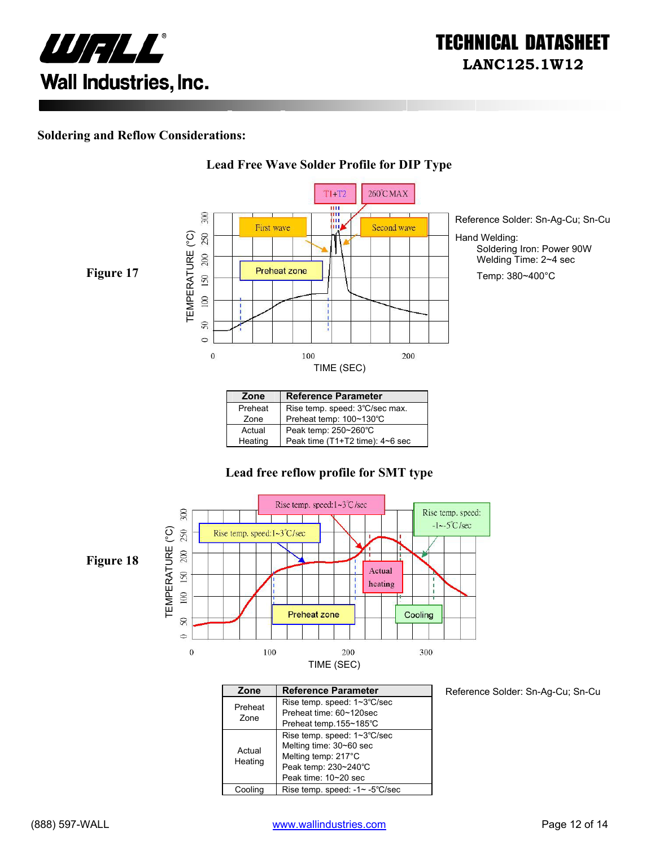

#### **Soldering and Reflow Considerations:**



**Lead Free Wave Solder Profile for DIP Type**

#### Preheat | Rise temp. speed: 3℃/sec max. Zone Preheat temp: 100~130℃ Actual Peak temp: 250~260°C<br>Heating Peak time (T1+T2 time) Peak time (T1+T2 time): 4~6 sec

#### **Lead free reflow profile for SMT type**



| Zone    | <b>Reference Parameter</b>     |
|---------|--------------------------------|
| Preheat | Rise temp. speed: 1~3°C/sec    |
| Zone    | Preheat time: 60~120sec        |
|         | Preheat temp.155~185°C         |
|         | Rise temp. speed: 1~3°C/sec    |
| Actual  | Melting time: 30~60 sec        |
| Heating | Melting temp: 217°C            |
|         | Peak temp: 230~240°C           |
|         | Peak time: 10~20 sec           |
| Coolina | Rise temp. speed: -1~ -5°C/sec |

Reference Solder: Sn-Ag-Cu; Sn-Cu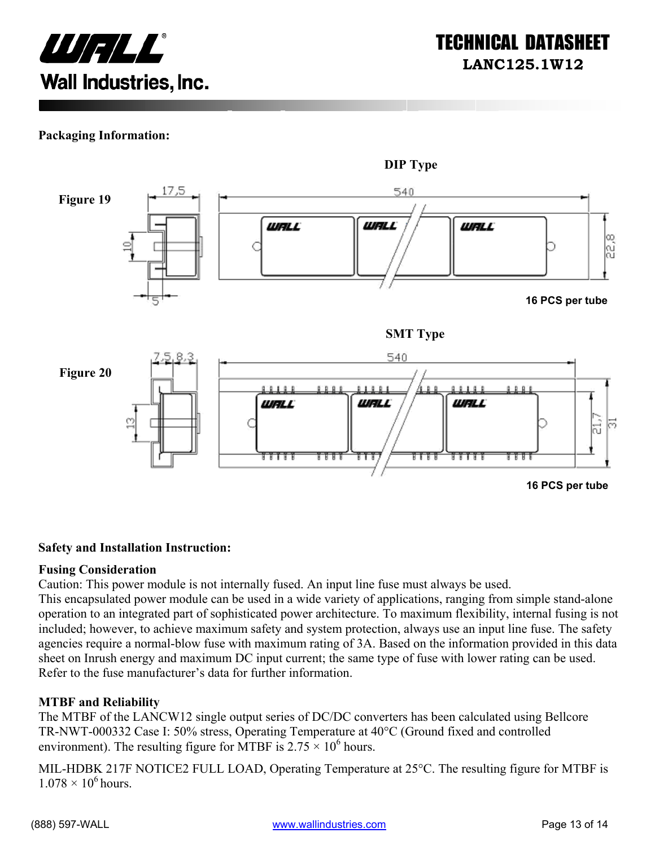

#### **Packaging Information:**



#### **Safety and Installation Instruction:**

#### **Fusing Consideration**

Caution: This power module is not internally fused. An input line fuse must always be used.

This encapsulated power module can be used in a wide variety of applications, ranging from simple stand-alone operation to an integrated part of sophisticated power architecture. To maximum flexibility, internal fusing is not included; however, to achieve maximum safety and system protection, always use an input line fuse. The safety agencies require a normal-blow fuse with maximum rating of 3A. Based on the information provided in this data sheet on Inrush energy and maximum DC input current; the same type of fuse with lower rating can be used. Refer to the fuse manufacturer's data for further information.

#### **MTBF and Reliability**

The MTBF of the LANCW12 single output series of DC/DC converters has been calculated using Bellcore TR-NWT-000332 Case I: 50% stress, Operating Temperature at 40°C (Ground fixed and controlled environment). The resulting figure for MTBF is  $2.75 \times 10^6$  hours.

MIL-HDBK 217F NOTICE2 FULL LOAD, Operating Temperature at 25°C. The resulting figure for MTBF is  $1.078 \times 10^6$  hours.